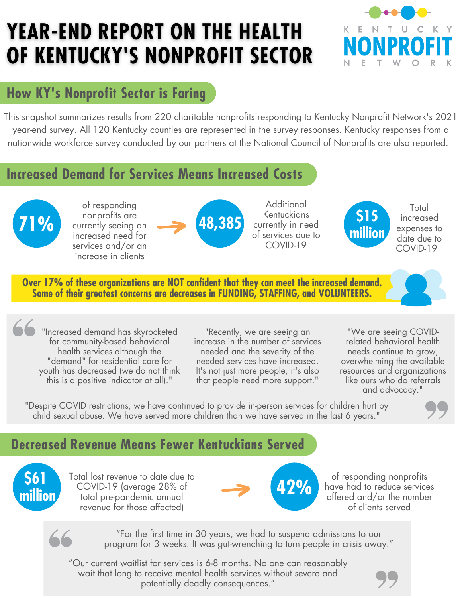# **YEAR-END REPORT ON THE HEALTH** OF KENTUCKY'S NONPROFIT SECTOR



# **How KY's Nonprofit Sector is Faring**

This snapshot summarizes results from 220 charitable nonprofits responding to Kentucky Nonprofit Network's 2021 year-end survey. All 120 Kentucky counties are represented in the survey responses. Kentucky responses from a nationwide workforce survey conducted by our partners at the National Council of [Nonprofits](https://www.councilofnonprofits.org/sites/default/files/documents/nonprofit-workforce-shortages-report.pdf) are also reported.

## **Increased Demand for Services Means Increased Costs**



of responding nonprofits are increased need for services and/or an increase in clients



**Additional Kentuckians** currently in need of services due to COVID-19



**Total** increased expenses to date due to COVID-19

**Over 17% of these organizations are NOT confident that they can meet the increased demand. Some of their greatest concerns are decreases in FUNDING, STAFFING, and VOLUNTEERS.**

"Increased demand has skyrocketed for community-based behavioral health services although the "demand" for residential care for youth has decreased (we do not think this is a positive indicator at all)."

"Recently, we are seeing an increase in the number of services needed and the severity of the needed services have increased. It's not just more people, it's also that people need more support."

"We are seeing COVIDrelated behavioral health needs continue to grow, overwhelming the available resources and organizations like ours who do referrals and advocacy."

"Despite COVID restrictions, we have continued to provide in-person services for children hurt by child sexual abuse. We have served more children than we have served in the last 6 years."

# **Decreased Revenue Means Fewer Kentuckians Served**



Total lost revenue to date due to COVID-19 (average 28% of total pre-pandemic annual revenue for those affected)



of responding nonprofits have had to reduce services offered and/or the number of clients served



"For the first time in 30 years, we had to suspend admissions to our program for 3 weeks. It was gut-wrenching to turn people in crisis away."

"Our current waitlist for services is 6-8 months. No one can reasonably wait that long to receive mental health services without severe and potentially deadly consequences."

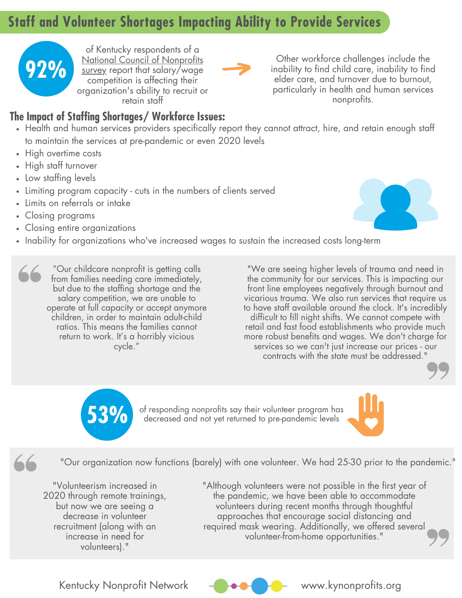# **Staff and Volunteer Shortages Impacting Ability to Provide Services**



of Kentucky respondents of a National Council of Nonprofits survey report that [salary/wage](https://www.councilofnonprofits.org/sites/default/files/documents/nonprofit-workforce-shortages-report.pdf) competition is affecting their organization's ability to recruit or retain staff

Other workforce challenges include the inability to find child care, inability to find elder care, and turnover due to burnout, particularly in health and human services nonprofits.

#### **The Impact of Staffing Shortages/ Workforce Issues:**

- Health and human services providers specifically report they cannot attract, hire, and retain enough staff to maintain the services at pre-pandemic or even 2020 levels
- High overtime costs
- High staff turnover
- Low staffing levels
- Limiting program capacity cuts in the numbers of clients served
- Limits on referrals or intake
- Closing programs

 $\overline{\phantom{a}}$ 

- Closing entire organizations
- Inability for organizations who've increased wages to sustain the increased costs long-term

"Our childcare nonprofit is getting calls from families needing care immediately, but due to the staffing shortage and the salary competition, we are unable to operate at full capacity or accept anymore children, in order to maintain adult-child ratios. This means the families cannot return to work. It's a horribly vicious cycle."

"We are seeing higher levels of trauma and need in the community for our services. This is impacting our front line employees negatively through burnout and vicarious trauma. We also run services that require us to have staff available around the clock. It's incredibly difficult to fill night shifts. We cannot compete with retail and fast food establishments who provide much more robust benefits and wages. We don't charge for services so we can't just increase our prices - our contracts with the state must be addressed."



of responding nonprofits say their volunteer program has **53%** decreased and not yet returned to pre-pandemic levels



"Our organization now functions (barely) with one volunteer. We had 25-30 prior to the pandemic."

"Volunteerism increased in 2020 through remote trainings, but now we are seeing a decrease in volunteer recruitment (along with an increase in need for volunteers)."

"Although volunteers were not possible in the first year of the pandemic, we have been able to accommodate volunteers during recent months through thoughtful approaches that encourage social distancing and required mask wearing. Additionally, we offered several volunteer-from-home opportunities."



Kentucky Nonprofit Network  $\begin{matrix} - \\ - \end{matrix}$   $\begin{matrix} \bullet \\ \bullet \\ \end{matrix}$   $\begin{matrix} \bullet \\ \bullet \\ \end{matrix}$  www.kynonprofits.org

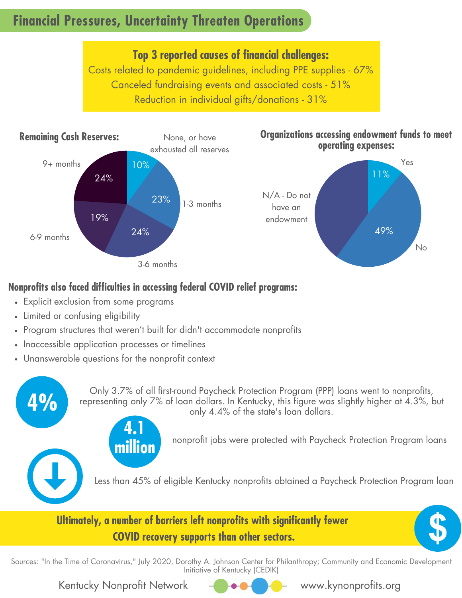# **Financial Pressures, Uncertainty Threaten Operations**

**Top 3 reported causes of financial challenges:** Costs related to pandemic guidelines, including PPE supplies - 67%

Canceled fundraising events and associated costs - 51% Reduction in individual gifts/donations - 31%



### **Nonprofits also faced difficulties in accessing federal COVID relief programs:**

- Explicit exclusion from some programs
- Limited or confusing eligibility

**4%**

- Program structures that weren't built for didn't accommodate nonprofits
- Inaccessible application processes or timelines
- Unanswerable questions for the nonprofit context

**4.1**

**million**

Only 3.7% of all first-round Paycheck Protection Program (PPP) loans went to nonprofits, representing only 7% of loan dollars. In Kentucky, this figure was slightly higher at 4.3%, but only 4.4% of the state's loan dollars.

nonprofit jobs were protected with Paycheck Protection Program loans

Less than 45% of eligible Kentucky nonprofits obtained a Paycheck Protection Program loan

### **Ultimately, a number of barriers left nonprofits with significantly fewer COVID recovery supports than other sectors.**



Sources: "In the Time of [Coronavirus,"](http://johnsoncenter.org/blog/in-the-time-of-coronavirus-how-many-eligible-nonprofits-benefited-from-the-paycheck-protection-program/) July 2020, Dorothy A. Johnson Center for Philanthropy; Community and Economic Development Initiative of Kentucky (CEDIK)

Kentucky Nonprofit Network  $\begin{matrix} -1 \\ -2 \end{matrix}$   $\begin{matrix} -1 \\ -1 \end{matrix}$  www.kynonprofits.org

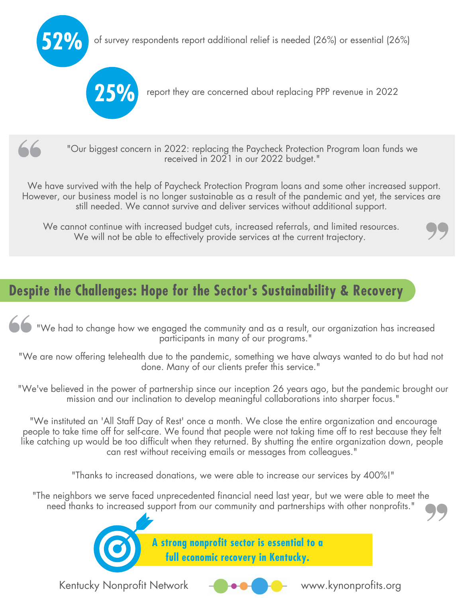of survey respondents report additional relief is needed (26%) or essential (26%) **52%**





**25%** report they are concerned about replacing PPP revenue in <sup>2022</sup>



"Our biggest concern in 2022: replacing the Paycheck Protection Program loan funds we received in 2021 in our 2022 budget."

We have survived with the help of Paycheck Protection Program loans and some other increased support. However, our business model is no longer sustainable as a result of the pandemic and yet, the services are still needed. We cannot survive and deliver services without additional support.

We cannot continue with increased budget cuts, increased referrals, and limited resources. We will not be able to effectively provide services at the current trajectory.

# **Despite the Challenges: Hope for the Sector's Sustainability & Recovery**

We had to change how we engaged the community and as a result, our organization has increased participants in many of our programs."

"We are now offering telehealth due to the pandemic, something we have always wanted to do but had not done. Many of our clients prefer this service."

"We've believed in the power of partnership since our inception 26 years ago, but the pandemic brought our mission and our inclination to develop meaningful collaborations into sharper focus."

"We instituted an 'All Staff Day of Rest' once a month. We close the entire organization and encourage people to take time off for self-care. We found that people were not taking time off to rest because they felt like catching up would be too difficult when they returned. By shutting the entire organization down, people can rest without receiving emails or messages from colleagues."

"Thanks to increased donations, we were able to increase our services by 400%!"

"The neighbors we serve faced unprecedented financial need last year, but we were able to meet the need thanks to increased support from our community and partnerships with other nonprofits."



**A strong nonprofit sector is essential to a full economic recovery in Kentucky.**

Kentucky Nonprofit Network  $\begin{matrix} - & \bullet & \bullet & \bullet \end{matrix}$  www.kynonprofits.org